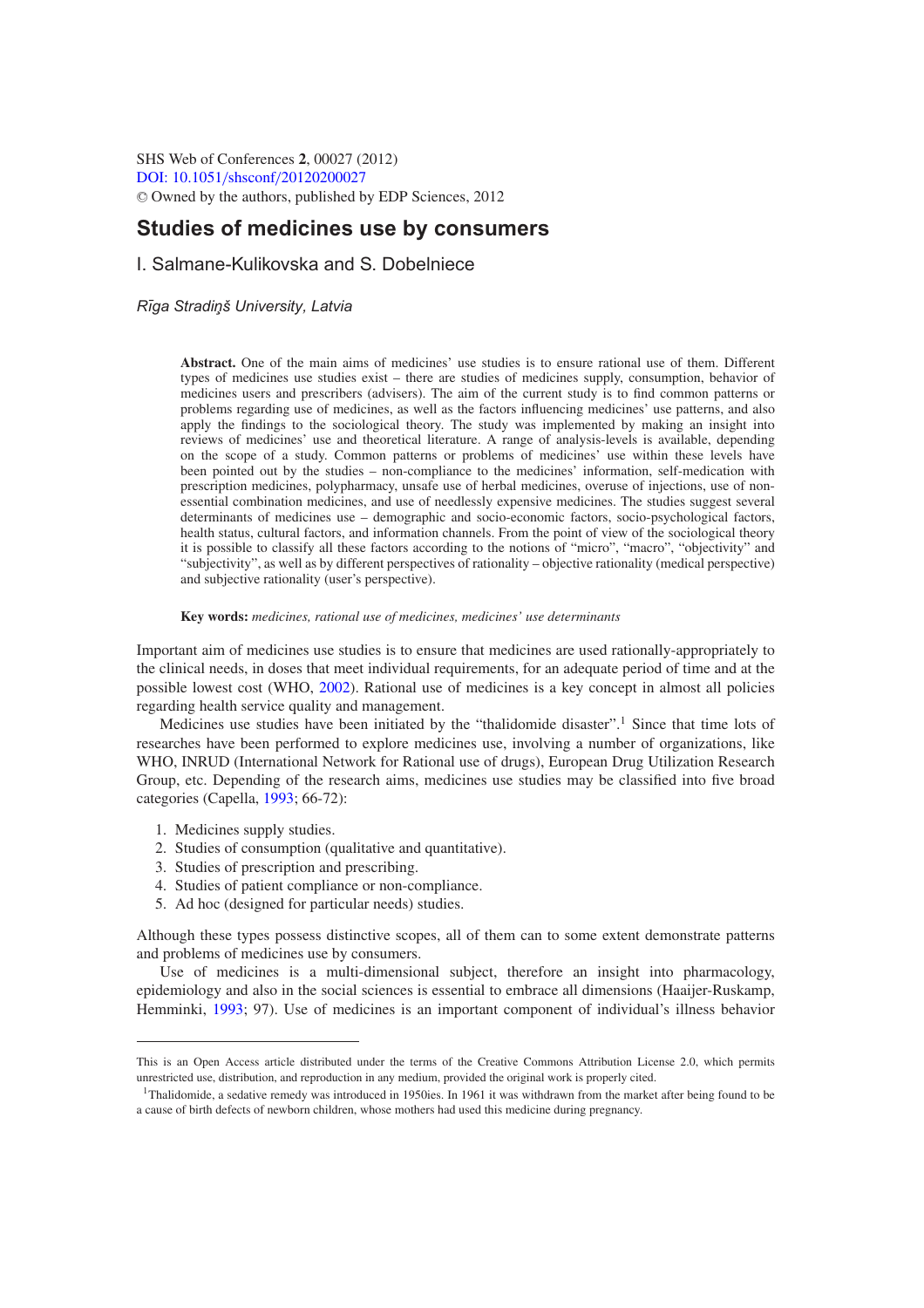SHS Web of Conferences **2**, 00027 (2012) [DOI: 10.1051](http://dx.doi.org/10.1051/shsconf/20120200027)/shsconf/<sup>20120200027</sup> <sup>C</sup> Owned by the authors, published by EDP Sciences, 2012

# **Studies of medicines use by consumers**

I. Salmane-Kulikovska and S. Dobelniece

*R¯ıga Stradin¸ š University, Latvia*

**Abstract.** One of the main aims of medicines' use studies is to ensure rational use of them. Different types of medicines use studies exist – there are studies of medicines supply, consumption, behavior of medicines users and prescribers (advisers). The aim of the current study is to find common patterns or problems regarding use of medicines, as well as the factors influencing medicines' use patterns, and also apply the findings to the sociological theory. The study was implemented by making an insight into reviews of medicines' use and theoretical literature. A range of analysis-levels is available, depending on the scope of a study. Common patterns or problems of medicines' use within these levels have been pointed out by the studies – non-compliance to the medicines' information, self-medication with prescription medicines, polypharmacy, unsafe use of herbal medicines, overuse of injections, use of nonessential combination medicines, and use of needlessly expensive medicines. The studies suggest several determinants of medicines use – demographic and socio-economic factors, socio-psychological factors, health status, cultural factors, and information channels. From the point of view of the sociological theory it is possible to classify all these factors according to the notions of "micro", "macro", "objectivity" and "subjectivity", as well as by different perspectives of rationality – objective rationality (medical perspective) and subjective rationality (user's perspective).

#### **Key words:** *medicines, rational use of medicines, medicines' use determinants*

Important aim of medicines use studies is to ensure that medicines are used rationally-appropriately to the clinical needs, in doses that meet individual requirements, for an adequate period of time and at the possible lowest cost (WHO, [2002\)](#page-5-0). Rational use of medicines is a key concept in almost all policies regarding health service quality and management.

Medicines use studies have been initiated by the "thalidomide disaster".<sup>1</sup> Since that time lots of researches have been performed to explore medicines use, involving a number of organizations, like WHO, INRUD (International Network for Rational use of drugs), European Drug Utilization Research Group, etc. Depending of the research aims, medicines use studies may be classified into five broad categories (Capella, [1993;](#page-4-0) 66-72):

- 1. Medicines supply studies.
- 2. Studies of consumption (qualitative and quantitative).
- 3. Studies of prescription and prescribing.
- 4. Studies of patient compliance or non-compliance.
- 5. Ad hoc (designed for particular needs) studies.

Although these types possess distinctive scopes, all of them can to some extent demonstrate patterns and problems of medicines use by consumers.

Use of medicines is a multi-dimensional subject, therefore an insight into pharmacology, epidemiology and also in the social sciences is essential to embrace all dimensions (Haaijer-Ruskamp, Hemminki, [1993;](#page-4-1) 97). Use of medicines is an important component of individual's illness behavior

This is an Open Access article distributed under the terms of the Creative Commons Attribution License 2.0, which permits unrestricted use, distribution, and reproduction in any medium, provided the original work is properly cited.

<sup>&</sup>lt;sup>1</sup>Thalidomide, a sedative remedy was introduced in 1950ies. In 1961 it was withdrawn from the market after being found to be a cause of birth defects of newborn children, whose mothers had used this medicine during pregnancy.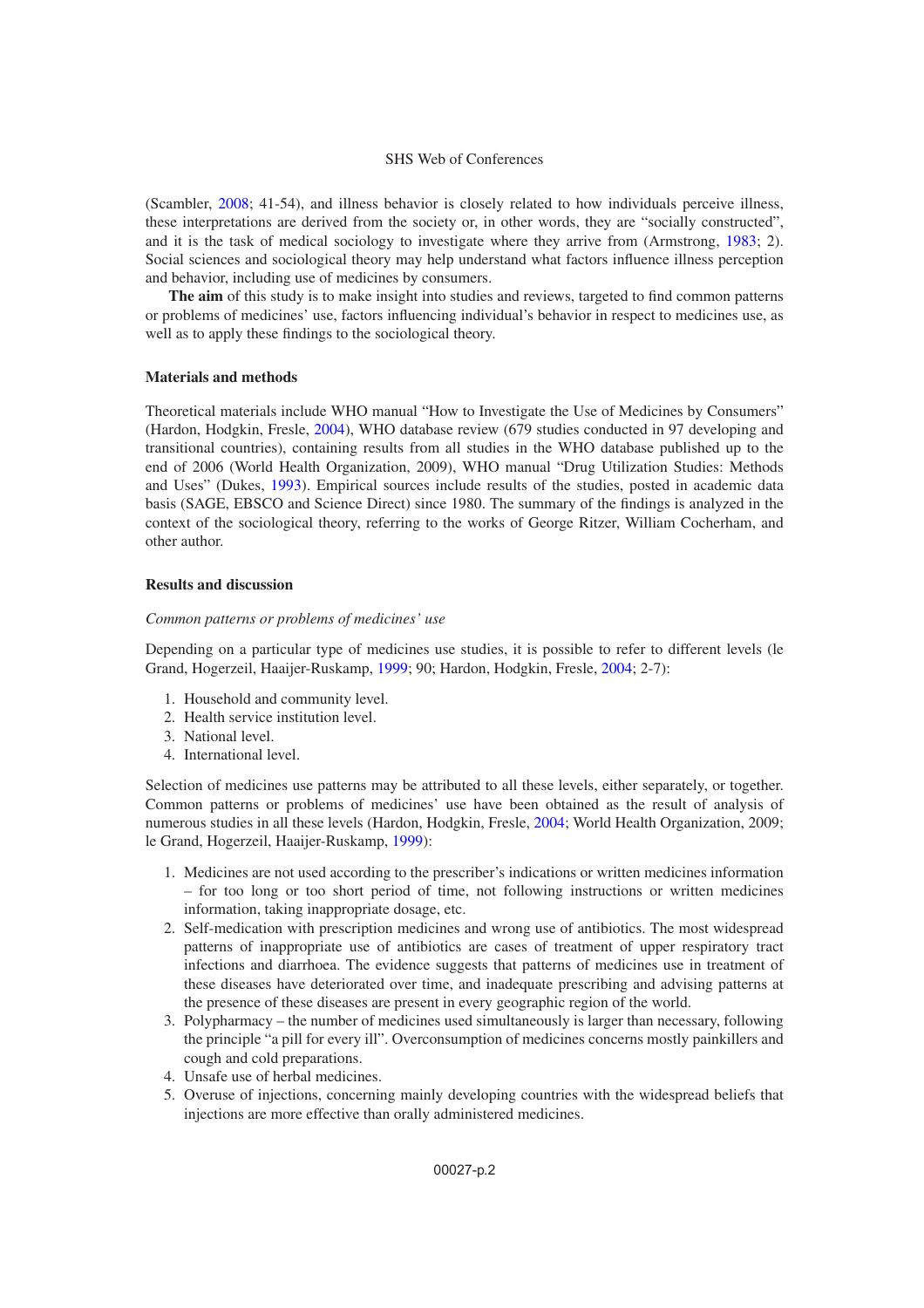#### SHS Web of Conferences

(Scambler, [2008;](#page-5-1) 41-54), and illness behavior is closely related to how individuals perceive illness, these interpretations are derived from the society or, in other words, they are "socially constructed", and it is the task of medical sociology to investigate where they arrive from (Armstrong, [1983;](#page-4-2) 2). Social sciences and sociological theory may help understand what factors influence illness perception and behavior, including use of medicines by consumers.

**The aim** of this study is to make insight into studies and reviews, targeted to find common patterns or problems of medicines' use, factors influencing individual's behavior in respect to medicines use, as well as to apply these findings to the sociological theory.

## **Materials and methods**

Theoretical materials include WHO manual "How to Investigate the Use of Medicines by Consumers" (Hardon, Hodgkin, Fresle, [2004\)](#page-5-2), WHO database review (679 studies conducted in 97 developing and transitional countries), containing results from all studies in the WHO database published up to the end of 2006 (World Health Organization, 2009), WHO manual "Drug Utilization Studies: Methods and Uses" (Dukes, [1993\)](#page-4-3). Empirical sources include results of the studies, posted in academic data basis (SAGE, EBSCO and Science Direct) since 1980. The summary of the findings is analyzed in the context of the sociological theory, referring to the works of George Ritzer, William Cocherham, and other author.

## **Results and discussion**

#### *Common patterns or problems of medicines' use*

Depending on a particular type of medicines use studies, it is possible to refer to different levels (le Grand, Hogerzeil, Haaijer-Ruskamp, [1999;](#page-5-3) 90; Hardon, Hodgkin, Fresle, [2004;](#page-5-2) 2-7):

- 1. Household and community level.
- 2. Health service institution level.
- 3. National level.
- 4. International level.

Selection of medicines use patterns may be attributed to all these levels, either separately, or together. Common patterns or problems of medicines' use have been obtained as the result of analysis of numerous studies in all these levels (Hardon, Hodgkin, Fresle, [2004;](#page-5-2) World Health Organization, 2009; le Grand, Hogerzeil, Haaijer-Ruskamp, [1999\)](#page-5-3):

- 1. Medicines are not used according to the prescriber's indications or written medicines information – for too long or too short period of time, not following instructions or written medicines information, taking inappropriate dosage, etc.
- 2. Self-medication with prescription medicines and wrong use of antibiotics. The most widespread patterns of inappropriate use of antibiotics are cases of treatment of upper respiratory tract infections and diarrhoea. The evidence suggests that patterns of medicines use in treatment of these diseases have deteriorated over time, and inadequate prescribing and advising patterns at the presence of these diseases are present in every geographic region of the world.
- 3. Polypharmacy the number of medicines used simultaneously is larger than necessary, following the principle "a pill for every ill". Overconsumption of medicines concerns mostly painkillers and cough and cold preparations.
- 4. Unsafe use of herbal medicines.
- 5. Overuse of injections, concerning mainly developing countries with the widespread beliefs that injections are more effective than orally administered medicines.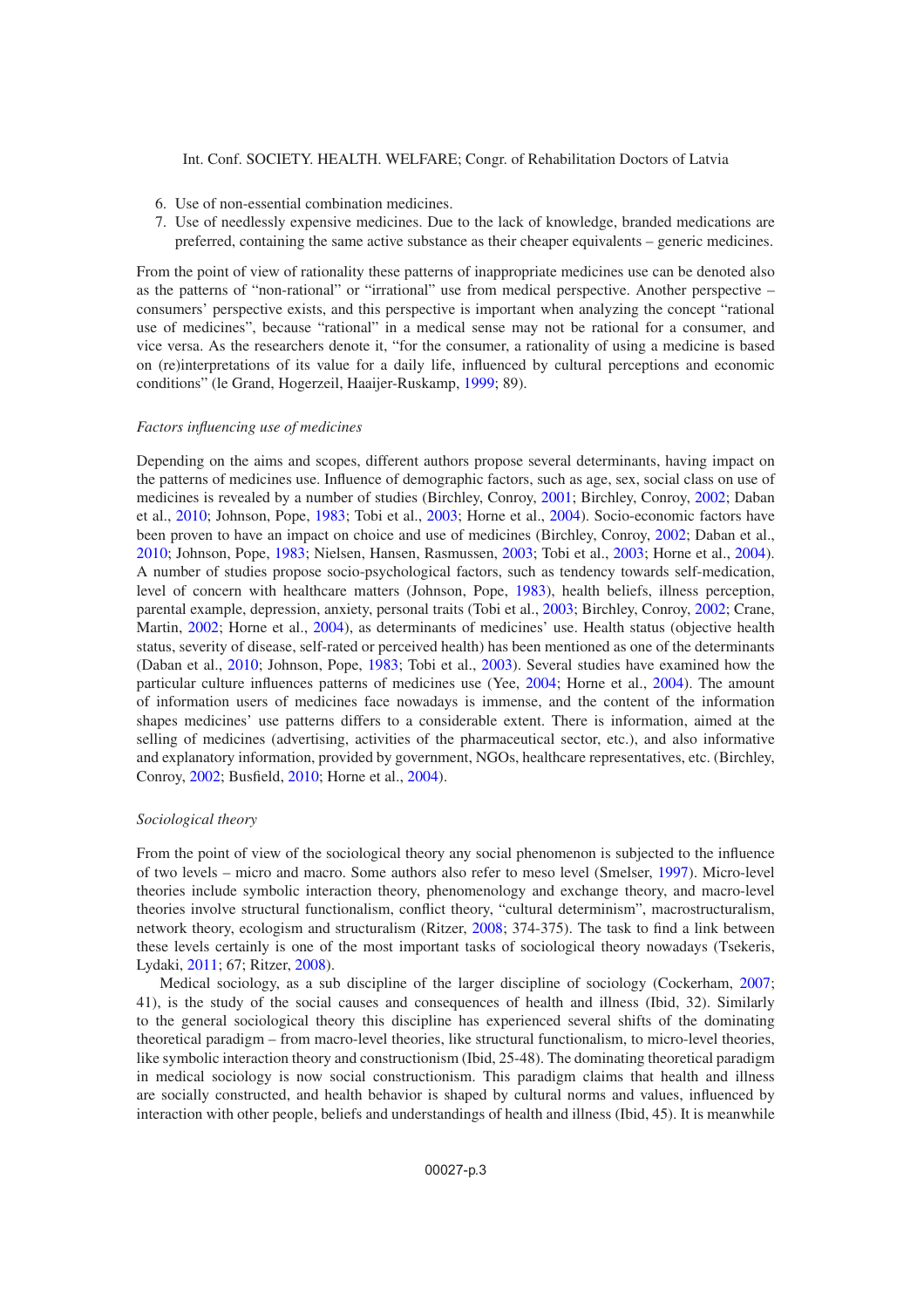Int. Conf. SOCIETY. HEALTH. WELFARE; Congr. of Rehabilitation Doctors of Latvia

- 6. Use of non-essential combination medicines.
- 7. Use of needlessly expensive medicines. Due to the lack of knowledge, branded medications are preferred, containing the same active substance as their cheaper equivalents – generic medicines.

From the point of view of rationality these patterns of inappropriate medicines use can be denoted also as the patterns of "non-rational" or "irrational" use from medical perspective. Another perspective – consumers' perspective exists, and this perspective is important when analyzing the concept "rational use of medicines", because "rational" in a medical sense may not be rational for a consumer, and vice versa. As the researchers denote it, "for the consumer, a rationality of using a medicine is based on (re)interpretations of its value for a daily life, influenced by cultural perceptions and economic conditions" (le Grand, Hogerzeil, Haaijer-Ruskamp, [1999;](#page-5-3) 89).

#### *Factors influencing use of medicines*

Depending on the aims and scopes, different authors propose several determinants, having impact on the patterns of medicines use. Influence of demographic factors, such as age, sex, social class on use of medicines is revealed by a number of studies (Birchley, Conroy, [2001;](#page-4-2) Birchley, Conroy, [2002;](#page-4-4) Daban et al., [2010;](#page-4-5) Johnson, Pope, [1983;](#page-5-4) Tobi et al., [2003;](#page-5-5) Horne et al., [2004\)](#page-5-6). Socio-economic factors have been proven to have an impact on choice and use of medicines (Birchley, Conroy, [2002;](#page-4-4) Daban et al., [2010;](#page-4-5) Johnson, Pope, [1983;](#page-5-4) Nielsen, Hansen, Rasmussen, [2003;](#page-5-7) Tobi et al., [2003;](#page-5-5) Horne et al., [2004\)](#page-5-6). A number of studies propose socio-psychological factors, such as tendency towards self-medication, level of concern with healthcare matters (Johnson, Pope, [1983\)](#page-5-4), health beliefs, illness perception, parental example, depression, anxiety, personal traits (Tobi et al., [2003;](#page-5-5) Birchley, Conroy, [2002;](#page-4-4) Crane, Martin, [2002;](#page-4-6) Horne et al., [2004\)](#page-5-6), as determinants of medicines' use. Health status (objective health status, severity of disease, self-rated or perceived health) has been mentioned as one of the determinants (Daban et al., [2010;](#page-4-5) Johnson, Pope, [1983;](#page-5-4) Tobi et al., [2003\)](#page-5-5). Several studies have examined how the particular culture influences patterns of medicines use (Yee, [2004;](#page-5-8) Horne et al., [2004\)](#page-5-6). The amount of information users of medicines face nowadays is immense, and the content of the information shapes medicines' use patterns differs to a considerable extent. There is information, aimed at the selling of medicines (advertising, activities of the pharmaceutical sector, etc.), and also informative and explanatory information, provided by government, NGOs, healthcare representatives, etc. (Birchley, Conroy, [2002;](#page-4-4) Busfield, [2010;](#page-4-7) Horne et al., [2004\)](#page-5-6).

## *Sociological theory*

From the point of view of the sociological theory any social phenomenon is subjected to the influence of two levels – micro and macro. Some authors also refer to meso level (Smelser, [1997\)](#page-5-9). Micro-level theories include symbolic interaction theory, phenomenology and exchange theory, and macro-level theories involve structural functionalism, conflict theory, "cultural determinism", macrostructuralism, network theory, ecologism and structuralism (Ritzer, [2008;](#page-5-10) 374-375). The task to find a link between these levels certainly is one of the most important tasks of sociological theory nowadays (Tsekeris, Lydaki, [2011;](#page-5-11) 67; Ritzer, [2008\)](#page-5-10).

Medical sociology, as a sub discipline of the larger discipline of sociology (Cockerham, [2007;](#page-4-8) 41), is the study of the social causes and consequences of health and illness (Ibid, 32). Similarly to the general sociological theory this discipline has experienced several shifts of the dominating theoretical paradigm – from macro-level theories, like structural functionalism, to micro-level theories, like symbolic interaction theory and constructionism (Ibid, 25-48). The dominating theoretical paradigm in medical sociology is now social constructionism. This paradigm claims that health and illness are socially constructed, and health behavior is shaped by cultural norms and values, influenced by interaction with other people, beliefs and understandings of health and illness (Ibid, 45). It is meanwhile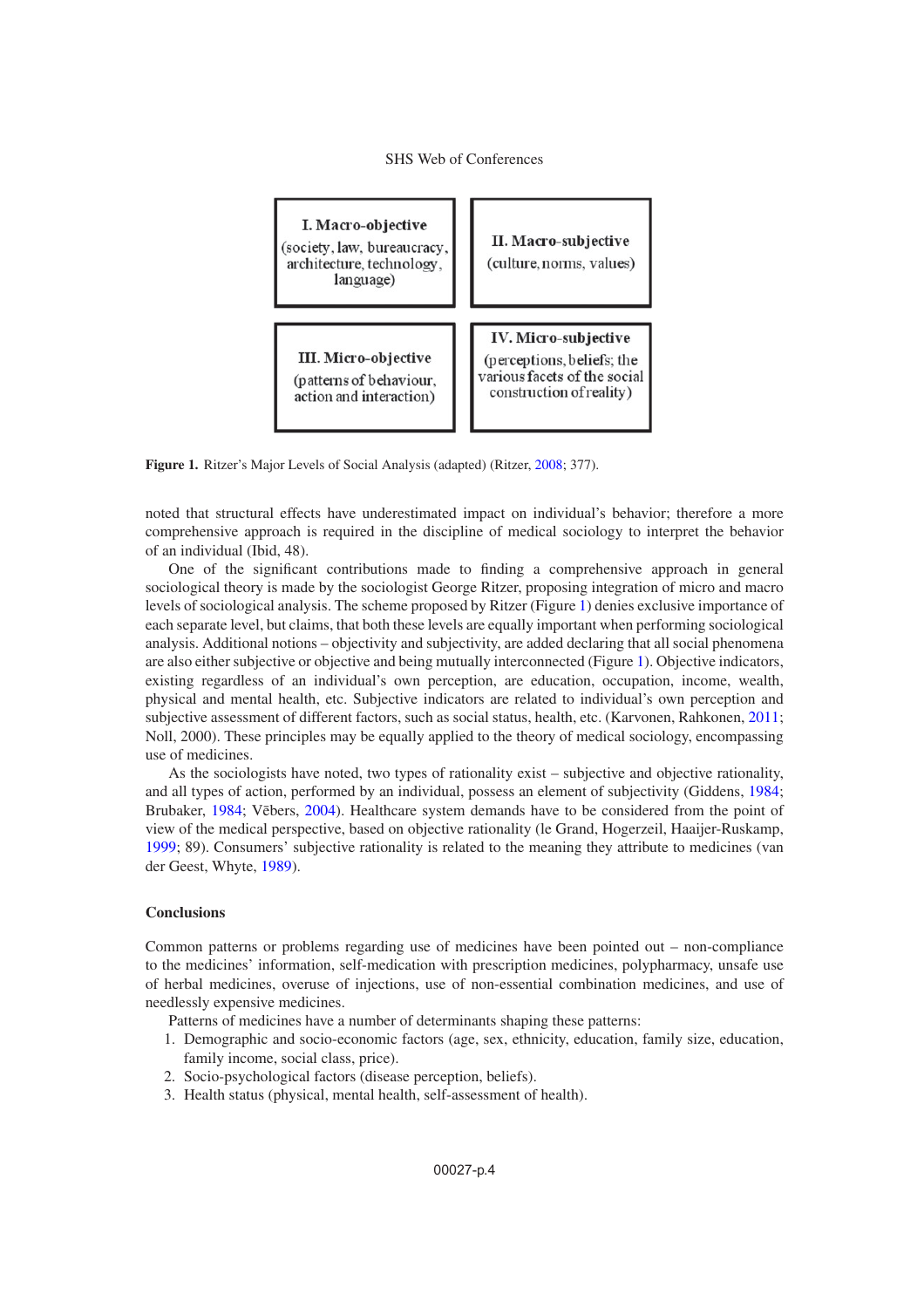#### SHS Web of Conferences

<span id="page-3-0"></span>

**Figure 1.** Ritzer's Major Levels of Social Analysis (adapted) (Ritzer, [2008;](#page-5-10) 377).

noted that structural effects have underestimated impact on individual's behavior; therefore a more comprehensive approach is required in the discipline of medical sociology to interpret the behavior of an individual (Ibid, 48).

One of the significant contributions made to finding a comprehensive approach in general sociological theory is made by the sociologist George Ritzer, proposing integration of micro and macro levels of sociological analysis. The scheme proposed by Ritzer (Figure [1\)](#page-3-0) denies exclusive importance of each separate level, but claims, that both these levels are equally important when performing sociological analysis. Additional notions – objectivity and subjectivity, are added declaring that all social phenomena are also either subjective or objective and being mutually interconnected (Figure [1\)](#page-3-0). Objective indicators, existing regardless of an individual's own perception, are education, occupation, income, wealth, physical and mental health, etc. Subjective indicators are related to individual's own perception and subjective assessment of different factors, such as social status, health, etc. (Karvonen, Rahkonen, [2011;](#page-5-12) Noll, 2000). These principles may be equally applied to the theory of medical sociology, encompassing use of medicines.

As the sociologists have noted, two types of rationality exist – subjective and objective rationality, and all types of action, performed by an individual, possess an element of subjectivity (Giddens, [1984;](#page-4-9) Brubaker, [1984;](#page-4-10) Vēbers, [2004\)](#page-5-13). Healthcare system demands have to be considered from the point of view of the medical perspective, based on objective rationality (le Grand, Hogerzeil, Haaijer-Ruskamp, [1999;](#page-5-3) 89). Consumers' subjective rationality is related to the meaning they attribute to medicines (van der Geest, Whyte, [1989\)](#page-5-14).

## **Conclusions**

Common patterns or problems regarding use of medicines have been pointed out – non-compliance to the medicines' information, self-medication with prescription medicines, polypharmacy, unsafe use of herbal medicines, overuse of injections, use of non-essential combination medicines, and use of needlessly expensive medicines.

Patterns of medicines have a number of determinants shaping these patterns:

- 1. Demographic and socio-economic factors (age, sex, ethnicity, education, family size, education, family income, social class, price).
- 2. Socio-psychological factors (disease perception, beliefs).
- 3. Health status (physical, mental health, self-assessment of health).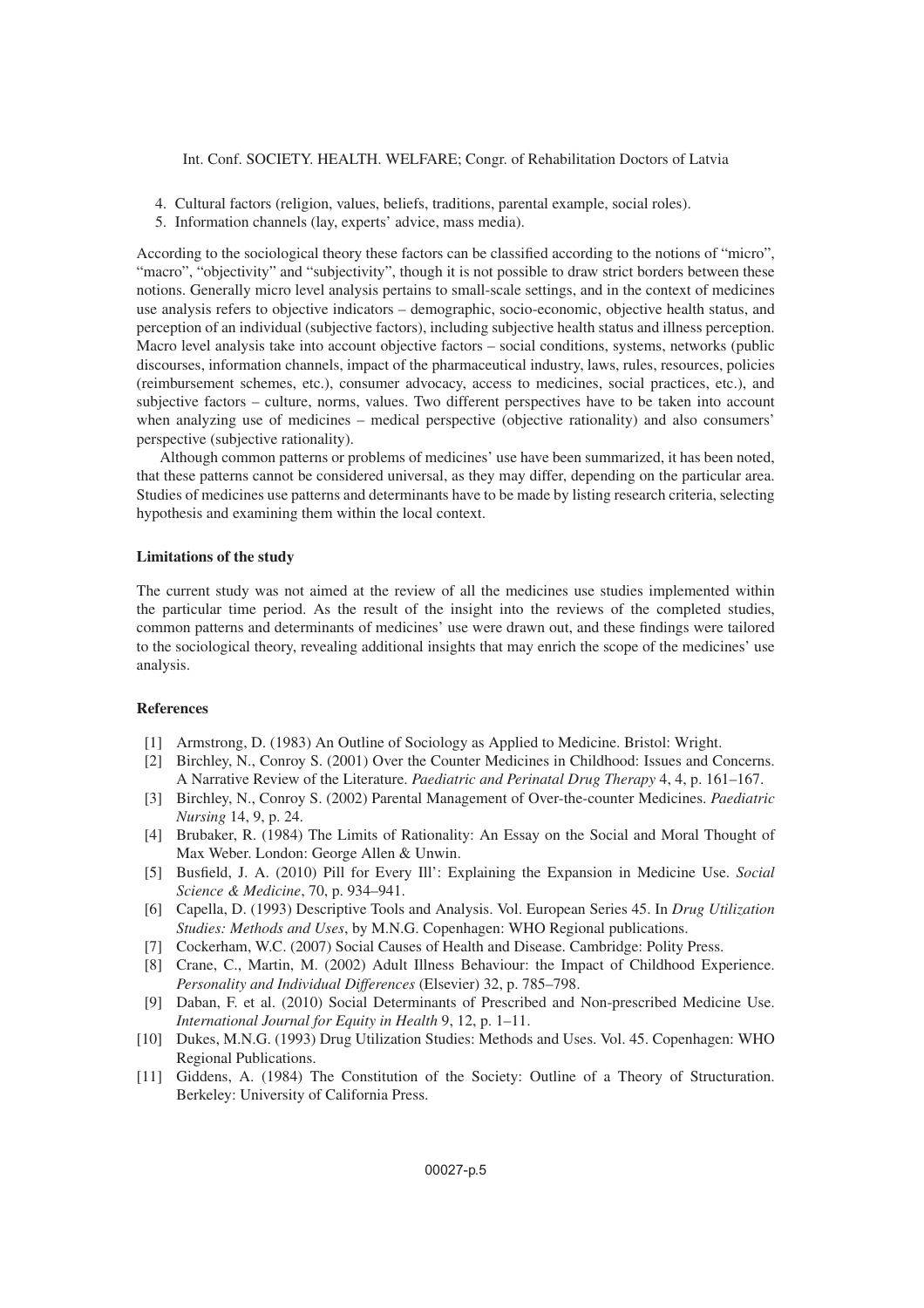Int. Conf. SOCIETY. HEALTH. WELFARE; Congr. of Rehabilitation Doctors of Latvia

- 4. Cultural factors (religion, values, beliefs, traditions, parental example, social roles).
- 5. Information channels (lay, experts' advice, mass media).

According to the sociological theory these factors can be classified according to the notions of "micro", "macro", "objectivity" and "subjectivity", though it is not possible to draw strict borders between these notions. Generally micro level analysis pertains to small-scale settings, and in the context of medicines use analysis refers to objective indicators – demographic, socio-economic, objective health status, and perception of an individual (subjective factors), including subjective health status and illness perception. Macro level analysis take into account objective factors – social conditions, systems, networks (public discourses, information channels, impact of the pharmaceutical industry, laws, rules, resources, policies (reimbursement schemes, etc.), consumer advocacy, access to medicines, social practices, etc.), and subjective factors – culture, norms, values. Two different perspectives have to be taken into account when analyzing use of medicines – medical perspective (objective rationality) and also consumers' perspective (subjective rationality).

Although common patterns or problems of medicines' use have been summarized, it has been noted, that these patterns cannot be considered universal, as they may differ, depending on the particular area. Studies of medicines use patterns and determinants have to be made by listing research criteria, selecting hypothesis and examining them within the local context.

## **Limitations of the study**

The current study was not aimed at the review of all the medicines use studies implemented within the particular time period. As the result of the insight into the reviews of the completed studies, common patterns and determinants of medicines' use were drawn out, and these findings were tailored to the sociological theory, revealing additional insights that may enrich the scope of the medicines' use analysis.

## **References**

- [1] Armstrong, D. (1983) An Outline of Sociology as Applied to Medicine. Bristol: Wright.
- <span id="page-4-2"></span>[2] Birchley, N., Conroy S. (2001) Over the Counter Medicines in Childhood: Issues and Concerns. A Narrative Review of the Literature. *Paediatric and Perinatal Drug Therapy* 4, 4, p. 161–167.
- <span id="page-4-4"></span>[3] Birchley, N., Conroy S. (2002) Parental Management of Over-the-counter Medicines. *Paediatric Nursing* 14, 9, p. 24.
- <span id="page-4-10"></span>[4] Brubaker, R. (1984) The Limits of Rationality: An Essay on the Social and Moral Thought of Max Weber. London: George Allen & Unwin.
- <span id="page-4-7"></span>[5] Busfield, J. A. (2010) Pill for Every Ill': Explaining the Expansion in Medicine Use. *Social Science & Medicine*, 70, p. 934–941.
- <span id="page-4-0"></span>[6] Capella, D. (1993) Descriptive Tools and Analysis. Vol. European Series 45. In *Drug Utilization Studies: Methods and Uses*, by M.N.G. Copenhagen: WHO Regional publications.
- [7] Cockerham, W.C. (2007) Social Causes of Health and Disease. Cambridge: Polity Press.
- <span id="page-4-8"></span>[8] Crane, C., Martin, M. (2002) Adult Illness Behaviour: the Impact of Childhood Experience. *Personality and Individual Differences* (Elsevier) 32, p. 785–798.
- <span id="page-4-6"></span>[9] Daban, F. et al. (2010) Social Determinants of Prescribed and Non-prescribed Medicine Use. *International Journal for Equity in Health* 9, 12, p. 1–11.
- <span id="page-4-5"></span><span id="page-4-3"></span>[10] Dukes, M.N.G. (1993) Drug Utilization Studies: Methods and Uses. Vol. 45. Copenhagen: WHO Regional Publications.
- <span id="page-4-9"></span><span id="page-4-1"></span>[11] Giddens, A. (1984) The Constitution of the Society: Outline of a Theory of Structuration. Berkeley: University of California Press.